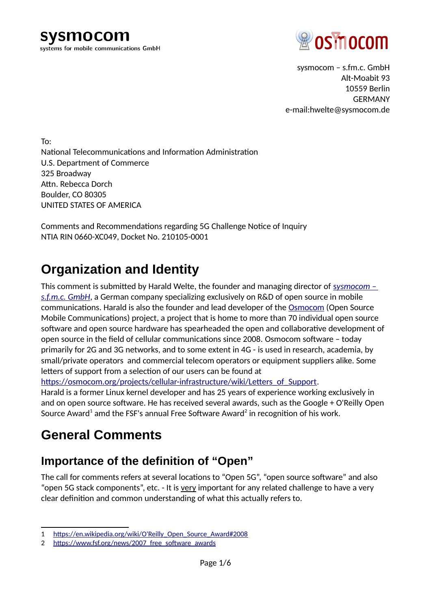sysmocom systems for mobile communications GmbH



sysmocom – s.fm.c. GmbH Alt-Moabit 93 10559 Berlin GERMANY e-mail:hwelte@sysmocom.de

To: National Telecommunications and Information Administration U.S. Department of Commerce 325 Broadway Attn. Rebecca Dorch Boulder, CO 80305 UNITED STATES OF AMERICA

Comments and Recommendations regarding 5G Challenge Notice of Inquiry NTIA RIN 0660-XC049, Docket No. 210105-0001

## **Organization and Identity**

This comment is [s](https://sysmocom.de/)ubmitted by Harald Welte, the founder and managing director of *sysmocom – [s.f.m.c. GmbH](https://sysmocom.de/)*, a German company specializing exclusively on R&D of open source in mobile communications. Harald is also the founder and lead developer of the [Osmocom](https://osmocom.org/) (Open Source Mobile Communications) project, a project that is home to more than 70 individual open source software and open source hardware has spearheaded the open and collaborative development of open source in the field of cellular communications since 2008. Osmocom software – today primarily for 2G and 3G networks, and to some extent in 4G - is used in research, academia, by small/private operators and commercial telecom operators or equipment suppliers alike. Some letters of support from a selection of our users can be found at

[https://osmocom.org/projects/cellular-infrastructure/wiki/Letters\\_of\\_Support.](https://osmocom.org/projects/cellular-infrastructure/wiki/Letters_of_Support)

Harald is a former Linux kernel developer and has 25 years of experience working exclusively in and on open source software. He has received several awards, such as the Google + O'Reilly Open Source Award $^{\rm 1}$  $^{\rm 1}$  $^{\rm 1}$  amd the FSF's annual Free Software Award $^{\rm 2}$  $^{\rm 2}$  $^{\rm 2}$  in recognition of his work.

## **General Comments**

### **Importance of the definition of "Open"**

The call for comments refers at several locations to "Open 5G", "open source software" and also "open 5G stack components", etc. - It is very important for any related challenge to have a very clear definition and common understanding of what this actually refers to.

<span id="page-0-0"></span><sup>1</sup> [https://en.wikipedia.org/wiki/O'Reilly\\_Open\\_Source\\_Award#2008](https://en.wikipedia.org/wiki/O)

<span id="page-0-1"></span><sup>2</sup> https://www.fsf.org/news/2007 free\_software\_awards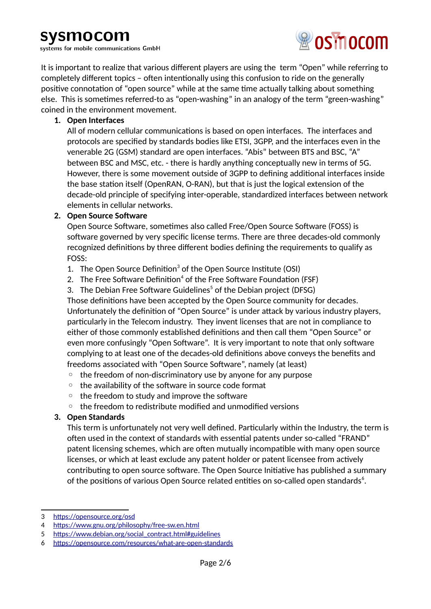systems for mobile communications GmbH



It is important to realize that various different players are using the term "Open" while referring to completely different topics – often intentionally using this confusion to ride on the generally positive connotation of "open source" while at the same time actually talking about something else. This is sometimes referred-to as "open-washing" in an analogy of the term "green-washing" coined in the environment movement.

#### **1. Open Interfaces**

All of modern cellular communications is based on open interfaces. The interfaces and protocols are specified by standards bodies like ETSI, 3GPP, and the interfaces even in the venerable 2G (GSM) standard are open interfaces. "Abis" between BTS and BSC, "A" between BSC and MSC, etc. - there is hardly anything conceptually new in terms of 5G. However, there is some movement outside of 3GPP to defining additional interfaces inside the base station itself (OpenRAN, O-RAN), but that is just the logical extension of the decade-old principle of specifying inter-operable, standardized interfaces between network elements in cellular networks.

#### **2. Open Source Software**

Open Source Software, sometimes also called Free/Open Source Software (FOSS) is software governed by very specific license terms. There are three decades-old commonly recognized definitions by three different bodies defining the requirements to qualify as FOSS:

- 1. The Open Source Definition<sup>[3](#page-1-0)</sup> of the Open Source Institute (OSI)
- 2. The Free Software Definition $^4$  $^4$  of the Free Software Foundation (FSF)
- 3. The Debian Free Software Guidelines<sup>[5](#page-1-2)</sup> of the Debian project (DFSG)

Those definitions have been accepted by the Open Source community for decades. Unfortunately the definition of "Open Source" is under attack by various industry players, particularly in the Telecom industry. They invent licenses that are not in compliance to either of those commonly established definitions and then call them "Open Source" or even more confusingly "Open Software". It is very important to note that only software complying to at least one of the decades-old definitions above conveys the benefits and freedoms associated with "Open Source Software", namely (at least)

- the freedom of non-discriminatory use by anyone for any purpose
- the availability of the software in source code format
- the freedom to study and improve the software
- the freedom to redistribute modified and unmodified versions

#### **3. Open Standards**

This term is unfortunately not very well defined. Particularly within the Industry, the term is often used in the context of standards with essential patents under so-called "FRAND" patent licensing schemes, which are often mutually incompatible with many open source licenses, or which at least exclude any patent holder or patent licensee from actively contributing to open source software. The Open Source Initiative has published a summary of the positions of various Open Source related entities on so-called open standards $\rm ^6$  $\rm ^6$ .

<span id="page-1-0"></span><sup>3</sup><https://opensource.org/osd>

<span id="page-1-1"></span><sup>4</sup> <https://www.gnu.org/philosophy/free-sw.en.html>

<span id="page-1-2"></span><sup>5</sup> [https://www.debian.org/social\\_contract.html#guidelines](https://www.debian.org/social_contract.html#guidelines)

<span id="page-1-3"></span><sup>6</sup> <https://opensource.com/resources/what-are-open-standards>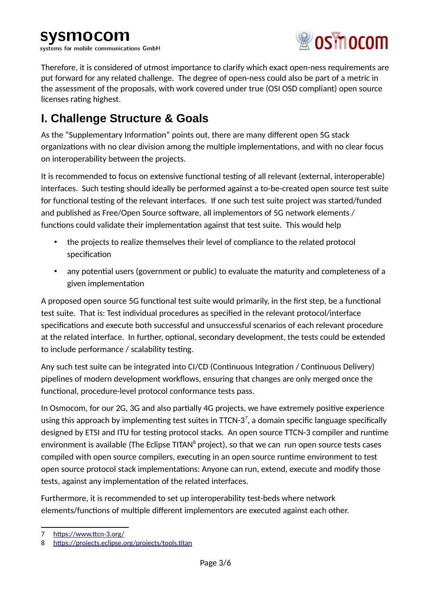systems for mobile communications GmbH



Therefore, it is considered of utmost importance to clarify which exact open-ness requirements are put forward for any related challenge. The degree of open-ness could also be part of a metric in the assessment of the proposals, with work covered under true (OSI OSD compliant) open source licenses rating highest.

### **I. Challenge Structure & Goals**

As the "Supplementary Information" points out, there are many different open 5G stack organizations with no clear division among the multiple implementations, and with no clear focus on interoperability between the projects.

It is recommended to focus on extensive functional testing of all relevant (external, interoperable) interfaces. Such testing should ideally be performed against a to-be-created open source test suite for functional testing of the relevant interfaces. If one such test suite project was started/funded and published as Free/Open Source software, all implementors of 5G network elements / functions could validate their implementation against that test suite. This would help

- the projects to realize themselves their level of compliance to the related protocol specification
- any potential users (government or public) to evaluate the maturity and completeness of a given implementation

A proposed open source 5G functional test suite would primarily, in the first step, be a functional test suite. That is: Test individual procedures as specified in the relevant protocol/interface specifications and execute both successful and unsuccessful scenarios of each relevant procedure at the related interface. In further, optional, secondary development, the tests could be extended to include performance / scalability testing.

Any such test suite can be integrated into CI/CD (Continuous Integration / Continuous Delivery) pipelines of modern development workflows, ensuring that changes are only merged once the functional, procedure-level protocol conformance tests pass.

In Osmocom, for our 2G, 3G and also partially 4G projects, we have extremely positive experience using this approach by implementing test suites in TTCN-3 $^7$  $^7$ , a domain specific language specifically designed by ETSI and ITU for testing protocol stacks. An open source TTCN-3 compiler and runtime environment is available (The Eclipse TITAN $^8$  $^8$  project), so that we can run open source tests cases compiled with open source compilers, executing in an open source runtime environment to test open source protocol stack implementations: Anyone can run, extend, execute and modify those tests, against any implementation of the related interfaces.

Furthermore, it is recommended to set up interoperability test-beds where network elements/functions of multiple different implementors are executed against each other.

<span id="page-2-0"></span><sup>7</sup><https://www.ttcn-3.org/>

<span id="page-2-1"></span><sup>8</sup> <https://projects.eclipse.org/projects/tools.titan>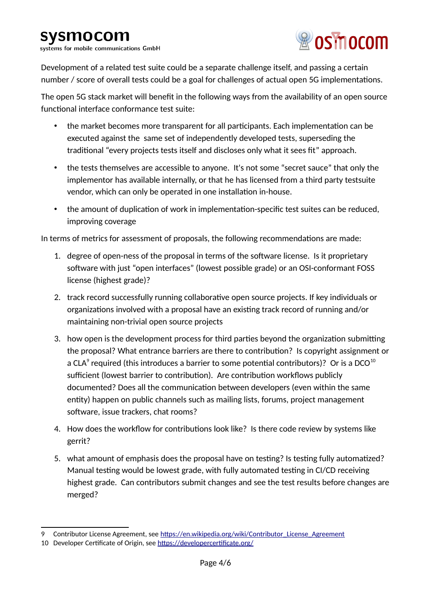systems for mobile communications GmbH



Development of a related test suite could be a separate challenge itself, and passing a certain number / score of overall tests could be a goal for challenges of actual open 5G implementations.

The open 5G stack market will benefit in the following ways from the availability of an open source functional interface conformance test suite:

- the market becomes more transparent for all participants. Each implementation can be executed against the same set of independently developed tests, superseding the traditional "every projects tests itself and discloses only what it sees fit" approach.
- the tests themselves are accessible to anyone. It's not some "secret sauce" that only the implementor has available internally, or that he has licensed from a third party testsuite vendor, which can only be operated in one installation in-house.
- the amount of duplication of work in implementation-specific test suites can be reduced, improving coverage

In terms of metrics for assessment of proposals, the following recommendations are made:

- 1. degree of open-ness of the proposal in terms of the software license. Is it proprietary software with just "open interfaces" (lowest possible grade) or an OSI-conformant FOSS license (highest grade)?
- 2. track record successfully running collaborative open source projects. If key individuals or organizations involved with a proposal have an existing track record of running and/or maintaining non-trivial open source projects
- 3. how open is the development process for third parties beyond the organization submitting the proposal? What entrance barriers are there to contribution? Is copyright assignment or a CLA $^{\circ}$  required (this introduces a barrier to some potential contributors)? Or is a DCO $^{10}$  $^{10}$  $^{10}$ sufficient (lowest barrier to contribution). Are contribution workflows publicly documented? Does all the communication between developers (even within the same entity) happen on public channels such as mailing lists, forums, project management software, issue trackers, chat rooms?
- 4. How does the workflow for contributions look like? Is there code review by systems like gerrit?
- 5. what amount of emphasis does the proposal have on testing? Is testing fully automatized? Manual testing would be lowest grade, with fully automated testing in CI/CD receiving highest grade. Can contributors submit changes and see the test results before changes are merged?

<span id="page-3-0"></span>Contributor License Agreement, see [https://en.wikipedia.org/wiki/Contributor\\_License\\_Agreement](https://en.wikipedia.org/wiki/Contributor_License_Agreement)

<span id="page-3-1"></span><sup>10</sup> Developer Certificate of Origin, see <https://developercertificate.org/>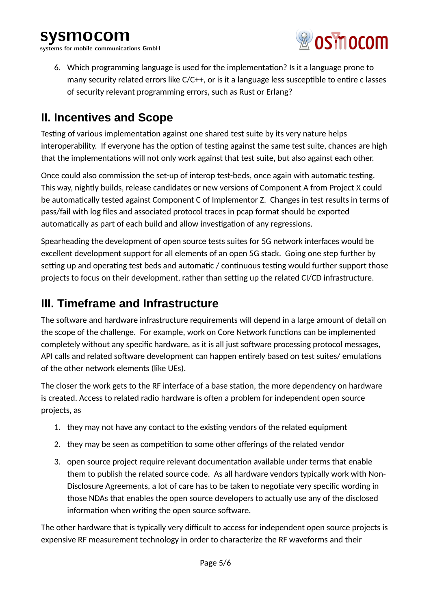systems for mobile communications GmbH



6. Which programming language is used for the implementation? Is it a language prone to many security related errors like C/C++, or is it a language less susceptible to entire c lasses of security relevant programming errors, such as Rust or Erlang?

### **II. Incentives and Scope**

Testing of various implementation against one shared test suite by its very nature helps interoperability. If everyone has the option of testing against the same test suite, chances are high that the implementations will not only work against that test suite, but also against each other.

Once could also commission the set-up of interop test-beds, once again with automatic testing. This way, nightly builds, release candidates or new versions of Component A from Project X could be automatically tested against Component C of Implementor Z. Changes in test results in terms of pass/fail with log files and associated protocol traces in pcap format should be exported automatically as part of each build and allow investigation of any regressions.

Spearheading the development of open source tests suites for 5G network interfaces would be excellent development support for all elements of an open 5G stack. Going one step further by setting up and operating test beds and automatic / continuous testing would further support those projects to focus on their development, rather than setting up the related CI/CD infrastructure.

### **III. Timeframe and Infrastructure**

The software and hardware infrastructure requirements will depend in a large amount of detail on the scope of the challenge. For example, work on Core Network functions can be implemented completely without any specific hardware, as it is all just software processing protocol messages, API calls and related software development can happen entirely based on test suites/ emulations of the other network elements (like UEs).

The closer the work gets to the RF interface of a base station, the more dependency on hardware is created. Access to related radio hardware is often a problem for independent open source projects, as

- 1. they may not have any contact to the existing vendors of the related equipment
- 2. they may be seen as competition to some other offerings of the related vendor
- 3. open source project require relevant documentation available under terms that enable them to publish the related source code. As all hardware vendors typically work with Non-Disclosure Agreements, a lot of care has to be taken to negotiate very specific wording in those NDAs that enables the open source developers to actually use any of the disclosed information when writing the open source software.

The other hardware that is typically very difficult to access for independent open source projects is expensive RF measurement technology in order to characterize the RF waveforms and their